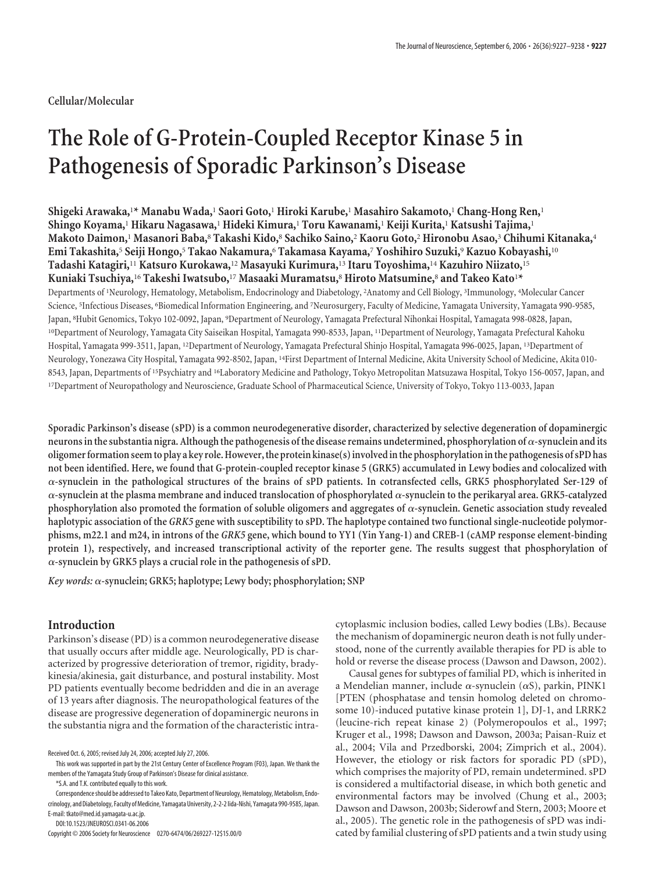**Cellular/Molecular**

# **The Role of G-Protein-Coupled Receptor Kinase 5 in Pathogenesis of Sporadic Parkinson's Disease**

**Shigeki Arawaka,**<sup>1</sup> **\* Manabu Wada,**<sup>1</sup> **Saori Goto,**<sup>1</sup> **Hiroki Karube,**<sup>1</sup> **Masahiro Sakamoto,**<sup>1</sup> **Chang-Hong Ren,**<sup>1</sup> **Shingo Koyama,**<sup>1</sup> **Hikaru Nagasawa,**<sup>1</sup> **Hideki Kimura,**<sup>1</sup> **Toru Kawanami,**<sup>1</sup> **Keiji Kurita,**<sup>1</sup> **Katsushi Tajima,**<sup>1</sup> **Makoto Daimon,**<sup>1</sup> **Masanori Baba,**<sup>8</sup> **Takashi Kido,**<sup>8</sup> **Sachiko Saino,**<sup>2</sup> **Kaoru Goto,**<sup>2</sup> **Hironobu Asao,**<sup>3</sup> **Chihumi Kitanaka,**<sup>4</sup> **Emi Takashita,**<sup>5</sup> **Seiji Hongo,**<sup>5</sup> **Takao Nakamura,**<sup>6</sup> **Takamasa Kayama,**<sup>7</sup> **Yoshihiro Suzuki,**<sup>9</sup> **Kazuo Kobayashi,**<sup>10</sup> **Tadashi Katagiri,**<sup>11</sup> **Katsuro Kurokawa,**<sup>12</sup> **Masayuki Kurimura,**<sup>13</sup> **Itaru Toyoshima,**<sup>14</sup> **Kazuhiro Niizato,**<sup>15</sup> **Kuniaki Tsuchiya,**<sup>16</sup> **Takeshi Iwatsubo,**<sup>17</sup> **Masaaki Muramatsu,**<sup>8</sup> **Hiroto Matsumine,**<sup>8</sup> **and Takeo Kato**<sup>1</sup> **\*** Departments of <sup>1</sup> Neurology, Hematology, Metabolism, Endocrinology and Diabetology, <sup>2</sup> Anatomy and Cell Biology, <sup>3</sup> Immunology, <sup>4</sup> Molecular Cancer Science, <sup>5</sup> Infectious Diseases, <sup>6</sup> Biomedical Information Engineering, and <sup>7</sup> Neurosurgery, Faculty of Medicine, Yamagata University, Yamagata 990-9585, Japan, <sup>s</sup>Hubit Genomics, Tokyo 102-0092, Japan, <sup>9</sup>Department of Neurology, Yamagata Prefectural Nihonkai Hospital, Yamagata 998-0828, Japan, 10Department of Neurology, Yamagata City Saiseikan Hospital, Yamagata 990-8533, Japan, 11Department of Neurology, Yamagata Prefectural Kahoku Hospital, Yamagata 999-3511, Japan, 12Department of Neurology, Yamagata Prefectural Shinjo Hospital, Yamagata 996-0025, Japan, 13Department of Neurology, Yonezawa City Hospital, Yamagata 992-8502, Japan, 14First Department of Internal Medicine, Akita University School of Medicine, Akita 010- 8543, Japan, Departments of 15Psychiatry and 16Laboratory Medicine and Pathology, Tokyo Metropolitan Matsuzawa Hospital, Tokyo 156-0057, Japan, and 17Department of Neuropathology and Neuroscience, Graduate School of Pharmaceutical Science, University of Tokyo, Tokyo 113-0033, Japan

**Sporadic Parkinson's disease (sPD) is a common neurodegenerative disorder, characterized by selective degeneration of dopaminergic** neurons in the substantia nigra. Although the pathogenesis of the disease remains undetermined, phosphorylation of  $\alpha$ -synuclein and its **oligomerformation seemto play a key role.However,the protein kinase(s)involvedinthe phosphorylationinthe pathogenesis of sPD has not been identified. Here, we found that G-protein-coupled receptor kinase 5 (GRK5) accumulated in Lewy bodies and colocalized with -synuclein in the pathological structures of the brains of sPD patients. In cotransfected cells, GRK5 phosphorylated Ser-129 of**  $\alpha$ -synuclein at the plasma membrane and induced translocation of phosphorylated  $\alpha$ -synuclein to the perikaryal area. GRK5-catalyzed phosphorylation also promoted the formation of soluble oligomers and aggregates of  $\alpha$ -synuclein. Genetic association study revealed **haplotypic association of the** *GRK5* **gene with susceptibility to sPD. The haplotype contained two functional single-nucleotide polymorphisms, m22.1 and m24, in introns of the** *GRK5* **gene, which bound to YY1 (Yin Yang-1) and CREB-1 (cAMP response element-binding protein 1), respectively, and increased transcriptional activity of the reporter gene. The results suggest that phosphorylation of -synuclein by GRK5 plays a crucial role in the pathogenesis of sPD.**

*Key words:* **-synuclein; GRK5; haplotype; Lewy body; phosphorylation; SNP**

## **Introduction**

Parkinson's disease (PD) is a common neurodegenerative disease that usually occurs after middle age. Neurologically, PD is characterized by progressive deterioration of tremor, rigidity, bradykinesia/akinesia, gait disturbance, and postural instability. Most PD patients eventually become bedridden and die in an average of 13 years after diagnosis. The neuropathological features of the disease are progressive degeneration of dopaminergic neurons in the substantia nigra and the formation of the characteristic intra-

\*S.A. and T.K. contributed equally to this work.

Correspondence should be addressed to Takeo Kato, Department of Neurology, Hematology, Metabolism, Endocrinology, and Diabetology, Faculty of Medicine, Yamagata University, 2-2-2 lida-Nishi, Yamagata 990-9585, Japan. E-mail: tkato@med.id.yamagata-u.ac.jp.

DOI:10.1523/JNEUROSCI.0341-06.2006

Copyright © 2006 Society for Neuroscience 0270-6474/06/269227-12\$15.00/0

cytoplasmic inclusion bodies, called Lewy bodies (LBs). Because the mechanism of dopaminergic neuron death is not fully understood, none of the currently available therapies for PD is able to hold or reverse the disease process (Dawson and Dawson, 2002).

Causal genes for subtypes of familial PD, which is inherited in a Mendelian manner, include  $\alpha$ -synuclein ( $\alpha$ S), parkin, PINK1 [PTEN (phosphatase and tensin homolog deleted on chromosome 10)-induced putative kinase protein 1], DJ-1, and LRRK2 (leucine-rich repeat kinase 2) (Polymeropoulos et al., 1997; Kruger et al., 1998; Dawson and Dawson, 2003a; Paisan-Ruiz et al., 2004; Vila and Przedborski, 2004; Zimprich et al., 2004). However, the etiology or risk factors for sporadic PD (sPD), which comprises the majority of PD, remain undetermined. sPD is considered a multifactorial disease, in which both genetic and environmental factors may be involved (Chung et al., 2003; Dawson and Dawson, 2003b; Siderowf and Stern, 2003; Moore et al., 2005). The genetic role in the pathogenesis of sPD was indicated by familial clustering of sPD patients and a twin study using

Received Oct. 6, 2005; revised July 24, 2006; accepted July 27, 2006.

This work was supported in part by the 21st Century Center of Excellence Program (F03), Japan. We thank the members of the Yamagata Study Group of Parkinson's Disease for clinical assistance.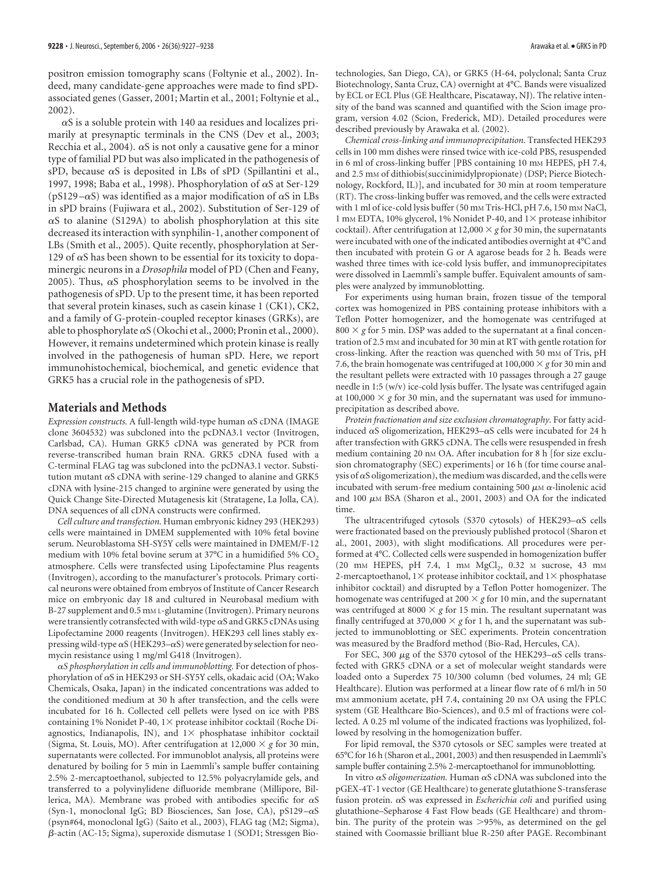positron emission tomography scans (Foltynie et al., 2002). Indeed, many candidate-gene approaches were made to find sPDassociated genes (Gasser, 2001; Martin et al., 2001; Foltynie et al., 2002).

 $\alpha$ S is a soluble protein with 140 aa residues and localizes primarily at presynaptic terminals in the CNS (Dev et al., 2003; Recchia et al., 2004).  $\alpha$ S is not only a causative gene for a minor type of familial PD but was also implicated in the pathogenesis of sPD, because  $\alpha$ S is deposited in LBs of sPD (Spillantini et al., 1997, 1998; Baba et al., 1998). Phosphorylation of  $\alpha$ S at Ser-129 ( $pS129 - \alpha S$ ) was identified as a major modification of  $\alpha S$  in LBs in sPD brains (Fujiwara et al., 2002). Substitution of Ser-129 of  $\alpha$ S to alanine (S129A) to abolish phosphorylation at this site decreased its interaction with synphilin-1, another component of LBs (Smith et al., 2005). Quite recently, phosphorylation at Ser-129 of  $\alpha$ S has been shown to be essential for its toxicity to dopaminergic neurons in a *Drosophila* model of PD (Chen and Feany, 2005). Thus,  $\alpha$ S phosphorylation seems to be involved in the pathogenesis of sPD. Up to the present time, it has been reported that several protein kinases, such as casein kinase 1 (CK1), CK2, and a family of G-protein-coupled receptor kinases (GRKs), are able to phosphorylate  $\alpha S$  (Okochi et al., 2000; Pronin et al., 2000). However, it remains undetermined which protein kinase is really involved in the pathogenesis of human sPD. Here, we report immunohistochemical, biochemical, and genetic evidence that GRK5 has a crucial role in the pathogenesis of sPD.

# **Materials and Methods**

*Expression constructs.* A full-length wild-type human  $\alpha$ S cDNA (IMAGE clone 3604532) was subcloned into the pcDNA3.1 vector (Invitrogen, Carlsbad, CA). Human GRK5 cDNA was generated by PCR from reverse-transcribed human brain RNA. GRK5 cDNA fused with a C-terminal FLAG tag was subcloned into the pcDNA3.1 vector. Substitution mutant  $\alpha$ S cDNA with serine-129 changed to alanine and GRK5 cDNA with lysine-215 changed to arginine were generated by using the Quick Change Site-Directed Mutagenesis kit (Stratagene, La Jolla, CA). DNA sequences of all cDNA constructs were confirmed.

*Cell culture and transfection.* Human embryonic kidney 293 (HEK293) cells were maintained in DMEM supplemented with 10% fetal bovine serum. Neuroblastoma SH-SY5Y cells were maintained in DMEM/F-12 medium with 10% fetal bovine serum at 37 $\mathrm{^{\circ}C}$  in a humidified 5% CO<sub>2</sub> atmosphere. Cells were transfected using Lipofectamine Plus reagents (Invitrogen), according to the manufacturer's protocols. Primary cortical neurons were obtained from embryos of Institute of Cancer Research mice on embryonic day 18 and cultured in Neurobasal medium with B-27 supplement and 0.5 mm L-glutamine (Invitrogen). Primary neurons were transiently cotransfected with wild-type  $\alpha$ S and GRK5 cDNAs using Lipofectamine 2000 reagents (Invitrogen). HEK293 cell lines stably expressing wild-type  $\alpha S$  (HEK293– $\alpha S$ ) were generated by selection for neomycin resistance using 1 mg/ml G418 (Invitrogen).

*S phosphorylation in cells and immunoblotting.* For detection of phosphorylation of  $\alpha$ S in HEK293 or SH-SY5Y cells, okadaic acid (OA; Wako Chemicals, Osaka, Japan) in the indicated concentrations was added to the conditioned medium at 30 h after transfection, and the cells were incubated for 16 h. Collected cell pellets were lysed on ice with PBS containing 1% Nonidet P-40,  $1 \times$  protease inhibitor cocktail (Roche Diagnostics, Indianapolis, IN), and  $1\times$  phosphatase inhibitor cocktail (Sigma, St. Louis, MO). After centrifugation at  $12,000 \times g$  for 30 min, supernatants were collected. For immunoblot analysis, all proteins were denatured by boiling for 5 min in Laemmli's sample buffer containing 2.5% 2-mercaptoethanol, subjected to 12.5% polyacrylamide gels, and transferred to a polyvinylidene difluoride membrane (Millipore, Billerica, MA). Membrane was probed with antibodies specific for  $\alpha S$ (Syn-1, monoclonal IgG; BD Biosciences, San Jose, CA), pS129- $\alpha$ S (psyn#64, monoclonal IgG) (Saito et al., 2003), FLAG tag (M2; Sigma), --actin (AC-15; Sigma), superoxide dismutase 1 (SOD1; Stressgen Biotechnologies, San Diego, CA), or GRK5 (H-64, polyclonal; Santa Cruz Biotechnology, Santa Cruz, CA) overnight at 4°C. Bands were visualized by ECL or ECL Plus (GE Healthcare, Piscataway, NJ). The relative intensity of the band was scanned and quantified with the Scion image program, version 4.02 (Scion, Frederick, MD). Detailed procedures were described previously by Arawaka et al. (2002).

*Chemical cross-linking and immunoprecipitation.* Transfected HEK293 cells in 100 mm dishes were rinsed twice with ice-cold PBS, resuspended in 6 ml of cross-linking buffer [PBS containing 10 mm HEPES, pH 7.4, and 2.5 mm of dithiobis(succinimidylpropionate) (DSP; Pierce Biotechnology, Rockford, IL)], and incubated for 30 min at room temperature (RT). The cross-linking buffer was removed, and the cells were extracted with 1 ml of ice-cold lysis buffer (50 mm Tris-HCl, pH 7.6, 150 mm NaCl, 1 mm EDTA, 10% glycerol, 1% Nonidet P-40, and  $1\times$  protease inhibitor cocktail). After centrifugation at 12,000  $\times$  *g* for 30 min, the supernatants were incubated with one of the indicated antibodies overnight at 4°C and then incubated with protein G or A agarose beads for 2 h. Beads were washed three times with ice-cold lysis buffer, and immunoprecipitates were dissolved in Laemmli's sample buffer. Equivalent amounts of samples were analyzed by immunoblotting.

For experiments using human brain, frozen tissue of the temporal cortex was homogenized in PBS containing protease inhibitors with a Teflon Potter homogenizer, and the homogenate was centrifuged at  $800 \times g$  for 5 min. DSP was added to the supernatant at a final concentration of 2.5 mM and incubated for 30 min at RT with gentle rotation for cross-linking. After the reaction was quenched with 50 mm of Tris, pH 7.6, the brain homogenate was centrifuged at  $100,000 \times g$  for 30 min and the resultant pellets were extracted with 10 passages through a 27 gauge needle in 1:5 (w/v) ice-cold lysis buffer. The lysate was centrifuged again at 100,000  $\times$  g for 30 min, and the supernatant was used for immunoprecipitation as described above.

*Protein fractionation and size exclusion chromatography.* For fatty acidinduced  $\alpha$ S oligomerization, HEK293– $\alpha$ S cells were incubated for 24 h after transfection with GRK5 cDNA. The cells were resuspended in fresh medium containing 20 nm OA. After incubation for 8 h [for size exclusion chromatography (SEC) experiments] or 16 h (for time course analysis of  $\alpha$ S oligomerization), the medium was discarded, and the cells were incubated with serum-free medium containing 500  $\mu$ M  $\alpha$ -linolenic acid and 100  $\mu$ M BSA (Sharon et al., 2001, 2003) and OA for the indicated time.

The ultracentrifuged cytosols (S370 cytosols) of HEK293- $\alpha$ S cells were fractionated based on the previously published protocol (Sharon et al., 2001, 2003), with slight modifications. All procedures were performed at 4°C. Collected cells were suspended in homogenization buffer (20 mm HEPES, pH 7.4, 1 mm  $MgCl<sub>2</sub>$ , 0.32 m sucrose, 43 mm 2-mercaptoethanol,  $1\times$  protease inhibitor cocktail, and  $1\times$  phosphatase inhibitor cocktail) and disrupted by a Teflon Potter homogenizer. The homogenate was centrifuged at  $200 \times g$  for 10 min, and the supernatant was centrifuged at 8000  $\times$  g for 15 min. The resultant supernatant was finally centrifuged at 370,000  $\times$  g for 1 h, and the supernatant was subjected to immunoblotting or SEC experiments. Protein concentration was measured by the Bradford method (Bio-Rad, Hercules, CA).

For SEC, 300  $\mu$ g of the S370 cytosol of the HEK293- $\alpha$ S cells transfected with GRK5 cDNA or a set of molecular weight standards were loaded onto a Superdex 75 10/300 column (bed volumes, 24 ml; GE Healthcare). Elution was performed at a linear flow rate of 6 ml/h in 50 mM ammonium acetate, pH 7.4, containing 20 nM OA using the FPLC system (GE Healthcare Bio-Sciences), and 0.5 ml of fractions were collected. A 0.25 ml volume of the indicated fractions was lyophilized, followed by resolving in the homogenization buffer.

For lipid removal, the S370 cytosols or SEC samples were treated at 65°C for 16 h (Sharon et al., 2001, 2003) and then resuspended in Laemmli's sample buffer containing 2.5% 2-mercaptoethanol for immunoblotting.

In vitro  $\alpha S$  *oligomerization*. Human  $\alpha S$  cDNA was subcloned into the pGEX-4T-1 vector (GE Healthcare) to generate glutathione S-transferase fusion protein.  $\alpha$ S was expressed in *Escherichia coli* and purified using glutathione–Sepharose 4 Fast Flow beads (GE Healthcare) and thrombin. The purity of the protein was >95%, as determined on the gel stained with Coomassie brilliant blue R-250 after PAGE. Recombinant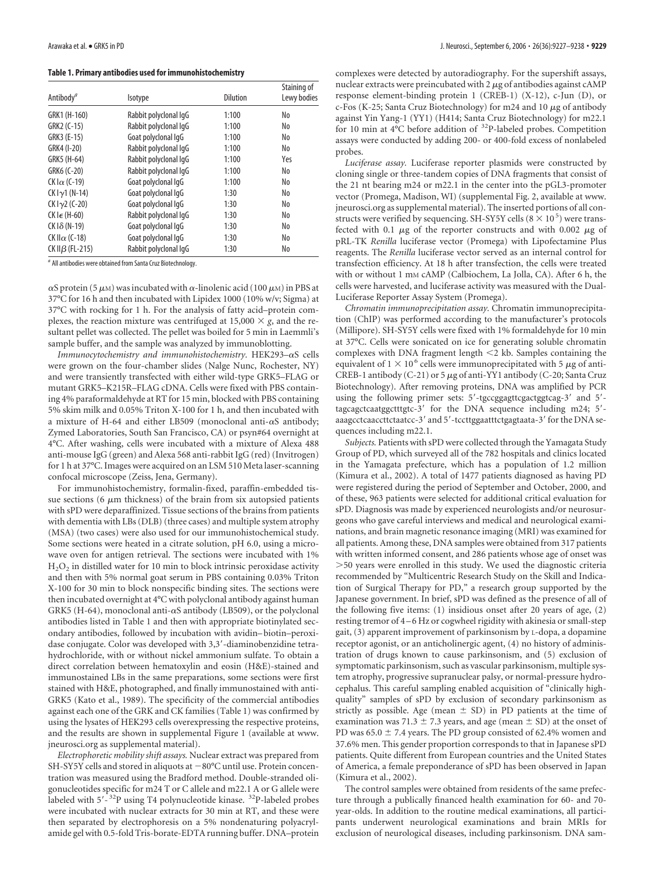**Table 1. Primary antibodies used for immunohistochemistry**

| Antibody <sup>a</sup>   | Isotype               | <b>Dilution</b> | Staining of<br>Lewy bodies |
|-------------------------|-----------------------|-----------------|----------------------------|
| GRK1 (H-160)            | Rabbit polyclonal IqG | 1:100           | No                         |
|                         |                       |                 |                            |
| GRK2 (C-15)             | Rabbit polyclonal IqG | 1:100           | No                         |
| GRK3 (E-15)             | Goat polyclonal IqG   | 1:100           | No                         |
| GRK4 (I-20)             | Rabbit polyclonal IqG | 1:100           | No                         |
| GRK5 (H-64)             | Rabbit polyclonal IqG | 1:100           | Yes                        |
| GRK6 (C-20)             | Rabbit polyclonal IqG | 1:100           | No                         |
| CK I $\alpha$ (C-19)    | Goat polyclonal IqG   | 1:100           | No                         |
| $CK IY1 (N-14)$         | Goat polyclonal IqG   | 1:30            | No                         |
| $CK I_{\gamma2}$ (C-20) | Goat polyclonal IqG   | 1:30            | No                         |
| CK I $\epsilon$ (H-60)  | Rabbit polyclonal IqG | 1:30            | No                         |
| $CK$ $1\delta$ (N-19)   | Goat polyclonal IqG   | 1:30            | No                         |
| CK II $\alpha$ (C-18)   | Goat polyclonal IqG   | 1:30            | No                         |
| CK II $\beta$ (FL-215)  | Rabbit polyclonal IqG | 1:30            | No                         |

*<sup>a</sup>* All antibodies were obtained from Santa Cruz Biotechnology.

 $\alpha$ S protein (5  $\mu$ M) was incubated with  $\alpha$ -linolenic acid (100  $\mu$ M) in PBS at 37°C for 16 h and then incubated with Lipidex 1000 (10% w/v; Sigma) at 37°C with rocking for 1 h. For the analysis of fatty acid–protein complexes, the reaction mixture was centrifuged at  $15,000 \times g$ , and the resultant pellet was collected. The pellet was boiled for 5 min in Laemmli's sample buffer, and the sample was analyzed by immunoblotting.

*Immunocytochemistry and immunohistochemistry*. HEK293-aS cells were grown on the four-chamber slides (Nalge Nunc, Rochester, NY) and were transiently transfected with either wild-type GRK5–FLAG or mutant GRK5–K215R–FLAG cDNA. Cells were fixed with PBS containing 4% paraformaldehyde at RT for 15 min, blocked with PBS containing 5% skim milk and 0.05% Triton X-100 for 1 h, and then incubated with a mixture of H-64 and either LB509 (monoclonal anti- $\alpha$ S antibody; Zymed Laboratories, South San Francisco, CA) or psyn#64 overnight at 4°C. After washing, cells were incubated with a mixture of Alexa 488 anti-mouse IgG (green) and Alexa 568 anti-rabbit IgG (red) (Invitrogen) for 1 h at 37°C. Images were acquired on an LSM 510 Meta laser-scanning confocal microscope (Zeiss, Jena, Germany).

For immunohistochemistry, formalin-fixed, paraffin-embedded tissue sections (6  $\mu$ m thickness) of the brain from six autopsied patients with sPD were deparaffinized. Tissue sections of the brains from patients with dementia with LBs (DLB) (three cases) and multiple system atrophy (MSA) (two cases) were also used for our immunohistochemical study. Some sections were heated in a citrate solution, pH 6.0, using a microwave oven for antigen retrieval. The sections were incubated with 1%  $H<sub>2</sub>O<sub>2</sub>$  in distilled water for 10 min to block intrinsic peroxidase activity and then with 5% normal goat serum in PBS containing 0.03% Triton X-100 for 30 min to block nonspecific binding sites. The sections were then incubated overnight at 4°C with polyclonal antibody against human GRK5 (H-64), monoclonal anti- $\alpha$ S antibody (LB509), or the polyclonal antibodies listed in Table 1 and then with appropriate biotinylated secondary antibodies, followed by incubation with avidin– biotin–peroxidase conjugate. Color was developed with 3,3-diaminobenzidine tetrahydrochloride, with or without nickel ammonium sulfate. To obtain a direct correlation between hematoxylin and eosin (H&E)-stained and immunostained LBs in the same preparations, some sections were first stained with H&E, photographed, and finally immunostained with anti-GRK5 (Kato et al., 1989). The specificity of the commercial antibodies against each one of the GRK and CK families (Table 1) was confirmed by using the lysates of HEK293 cells overexpressing the respective proteins, and the results are shown in supplemental Figure 1 (available at www. jneurosci.org as supplemental material).

*Electrophoretic mobility shift assays.* Nuclear extract was prepared from SH-SY5Y cells and stored in aliquots at  $-80^{\circ}$ C until use. Protein concentration was measured using the Bradford method. Double-stranded oligonucleotides specific for m24 T or C allele and m22.1 A or G allele were labeled with 5'-<sup>32</sup>P using T4 polynucleotide kinase. <sup>32</sup>P-labeled probes were incubated with nuclear extracts for 30 min at RT, and these were then separated by electrophoresis on a 5% nondenaturing polyacrylamide gel with 0.5-fold Tris-borate-EDTA running buffer. DNA–protein complexes were detected by autoradiography. For the supershift assays, nuclear extracts were preincubated with  $2 \mu$ g of antibodies against cAMP response element-binding protein 1 (CREB-1) (X-12), c-Jun (D), or c-Fos (K-25; Santa Cruz Biotechnology) for m24 and 10  $\mu$ g of antibody against Yin Yang-1 (YY1) (H414; Santa Cruz Biotechnology) for m22.1 for 10 min at 4°C before addition of 32P-labeled probes. Competition assays were conducted by adding 200- or 400-fold excess of nonlabeled probes.

*Luciferase assay.* Luciferase reporter plasmids were constructed by cloning single or three-tandem copies of DNA fragments that consist of the 21 nt bearing m24 or m22.1 in the center into the pGL3-promoter vector (Promega, Madison, WI) (supplemental Fig. 2, available at www. jneurosci.org as supplemental material). The inserted portions of all constructs were verified by sequencing. SH-SY5Y cells (8  $\times$  10 <sup>5</sup>) were transfected with 0.1  $\mu$ g of the reporter constructs and with 0.002  $\mu$ g of pRL-TK *Renilla* luciferase vector (Promega) with Lipofectamine Plus reagents. The *Renilla* luciferase vector served as an internal control for transfection efficiency. At 18 h after transfection, the cells were treated with or without 1 mm cAMP (Calbiochem, La Jolla, CA). After 6 h, the cells were harvested, and luciferase activity was measured with the Dual-Luciferase Reporter Assay System (Promega).

*Chromatin immunoprecipitation assay.* Chromatin immunoprecipitation (ChIP) was performed according to the manufacturer's protocols (Millipore). SH-SY5Y cells were fixed with 1% formaldehyde for 10 min at 37°C. Cells were sonicated on ice for generating soluble chromatin complexes with DNA fragment length  $\leq$ 2 kb. Samples containing the equivalent of 1  $\times$  10<sup>6</sup> cells were immunoprecipitated with 5  $\mu$ g of anti-CREB-1 antibody (C-21) or 5  $\mu$ g of anti-YY1 antibody (C-20; Santa Cruz Biotechnology). After removing proteins, DNA was amplified by PCR using the following primer sets: 5'-tgccggagttcgactggtcag-3' and 5'tagcagctcaatggctttgtc-3' for the DNA sequence including m24; 5'aaagcctcaaccttctaatcc-3' and 5'-tccttggaatttctgagtaata-3' for the DNA sequences including m22.1.

*Subjects.* Patients with sPD were collected through the Yamagata Study Group of PD, which surveyed all of the 782 hospitals and clinics located in the Yamagata prefecture, which has a population of 1.2 million (Kimura et al., 2002). A total of 1477 patients diagnosed as having PD were registered during the period of September and October, 2000, and of these, 963 patients were selected for additional critical evaluation for sPD. Diagnosis was made by experienced neurologists and/or neurosurgeons who gave careful interviews and medical and neurological examinations, and brain magnetic resonance imaging (MRI) was examined for all patients. Among these, DNA samples were obtained from 317 patients with written informed consent, and 286 patients whose age of onset was -50 years were enrolled in this study. We used the diagnostic criteria recommended by "Multicentric Research Study on the Skill and Indication of Surgical Therapy for PD," a research group supported by the Japanese government. In brief, sPD was defined as the presence of all of the following five items: (1) insidious onset after 20 years of age, (2) resting tremor of 4 – 6 Hz or cogwheel rigidity with akinesia or small-step gait, (3) apparent improvement of parkinsonism by L-dopa, a dopamine receptor agonist, or an anticholinergic agent, (4) no history of administration of drugs known to cause parkinsonism, and (5) exclusion of symptomatic parkinsonism, such as vascular parkinsonism, multiple system atrophy, progressive supranuclear palsy, or normal-pressure hydrocephalus. This careful sampling enabled acquisition of "clinically highquality" samples of sPD by exclusion of secondary parkinsonism as strictly as possible. Age (mean  $\pm$  SD) in PD patients at the time of examination was 71.3  $\pm$  7.3 years, and age (mean  $\pm$  SD) at the onset of PD was  $65.0 \pm 7.4$  years. The PD group consisted of 62.4% women and 37.6% men. This gender proportion corresponds to that in Japanese sPD patients. Quite different from European countries and the United States of America, a female preponderance of sPD has been observed in Japan (Kimura et al., 2002).

The control samples were obtained from residents of the same prefecture through a publically financed health examination for 60- and 70 year-olds. In addition to the routine medical examinations, all participants underwent neurological examinations and brain MRIs for exclusion of neurological diseases, including parkinsonism. DNA sam-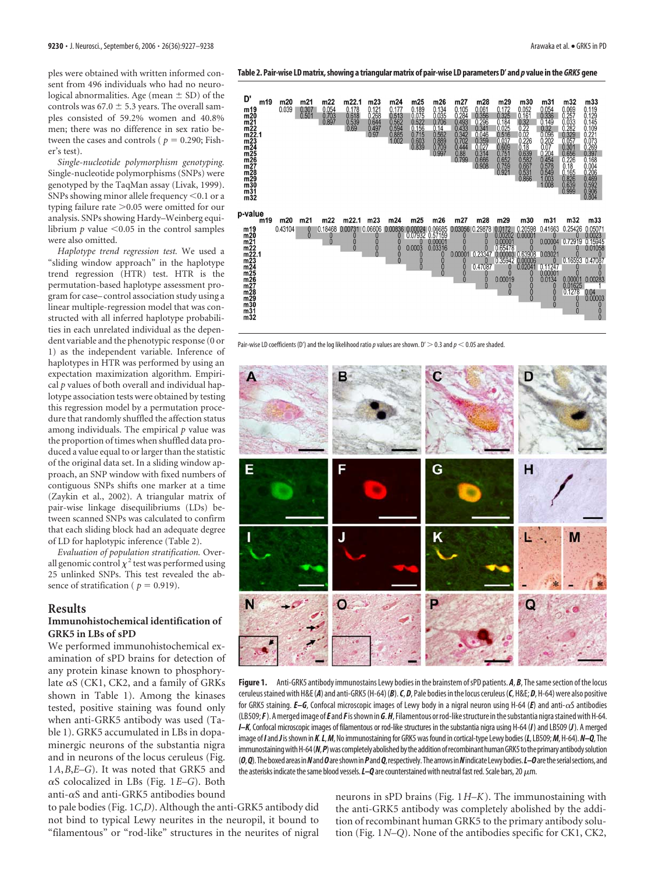*Single-nucleotide polymorphism genotyping.* Single-nucleotide polymorphisms (SNPs) were genotyped by the TaqMan assay (Livak, 1999). SNPs showing minor allele frequency  $<$  0.1 or a typing failure rate > 0.05 were omitted for our analysis. SNPs showing Hardy–Weinberg equilibrium  $p$  value  $\leq 0.05$  in the control samples were also omitted.

*Haplotype trend regression test.* We used a "sliding window approach" in the haplotype trend regression (HTR) test. HTR is the permutation-based haplotype assessment program for case– control association study using a linear multiple-regression model that was constructed with all inferred haplotype probabilities in each unrelated individual as the dependent variable and the phenotypic response (0 or 1) as the independent variable. Inference of haplotypes in HTR was performed by using an expectation maximization algorithm. Empirical *p* values of both overall and individual haplotype association tests were obtained by testing this regression model by a permutation procedure that randomly shuffled the affection status among individuals. The empirical *p* value was the proportion of times when shuffled data produced a value equal to or larger than the statistic of the original data set. In a sliding window approach, an SNP window with fixed numbers of contiguous SNPs shifts one marker at a time (Zaykin et al., 2002). A triangular matrix of pair-wise linkage disequilibriums (LDs) between scanned SNPs was calculated to confirm that each sliding block had an adequate degree of LD for haplotypic inference (Table 2).

*Evaluation of population stratification.* Overall genomic control  $\chi^2$  test was performed using 25 unlinked SNPs. This test revealed the absence of stratification ( $p = 0.919$ ).

#### **Results**

## **Immunohistochemical identification of GRK5 in LBs of sPD**

We performed immunohistochemical examination of sPD brains for detection of any protein kinase known to phosphorylate  $\alpha$ S (CK1, CK2, and a family of GRKs shown in Table 1). Among the kinases tested, positive staining was found only when anti-GRK5 antibody was used (Table 1). GRK5 accumulated in LBs in dopaminergic neurons of the substantia nigra and in neurons of the locus ceruleus (Fig. 1*A*,*B*,*E–G*). It was noted that GRK5 and  $\alpha$ S colocalized in LBs (Fig. 1*E–G*). Both anti- $\alpha$ S and anti-GRK5 antibodies bound

to pale bodies (Fig. 1*C*,*D*). Although the anti-GRK5 antibody did not bind to typical Lewy neurites in the neuropil, it bound to "filamentous" or "rod-like" structures in the neurites of nigral



Pair-wise LD coefficients (D') and the log likelihood ratio p values are shown. D'  $>$  0.3 and p  $<$  0.05 are shaded.



Figure 1. Anti-GRK5 antibody immunostains Lewy bodies in the brainstem of sPD patients. A, B, The same section of the locus ceruleusstained with H&E(*A*) and anti-GRK5(H-64)(*B*).*C*,*D*, Pale bodies inthe locus ceruleus(*C*, H&E;*D*, H-64) were also positive for GRK5 staining. *E–G*, Confocal microscopic images of Lewy body in a nigral neuron using H-64 (*E*) and anti- $\alpha$ S antibodies (LB509;*F*).Amerged image of*E*and*F*isshown in*G*.*H*, Filamentous orrod-likestructure inthesubstantia nigrastainedwithH-64. *I–K*, Confocal microscopic images of filamentous or rod-like structures in the substantia nigra using H-64 (*I*) and LB509 (*J*). A merged image of*I*and*J*isshown in *K*.*L*,*M*, No immunostaining for GRK5 was found in cortical-type Lewy bodies(*L*, LB509;*M*, H-64).*N–Q*, The immunostaining with H-64 (N, P) was completely abolished by the addition of recombinant human GRK5 to the primary antibody solution (*O*,*Q*).Theboxedareasin*N*and*O*areshownin*P*and*Q*,respectively.Thearrowsin*N*indicateLewybodies.*L–O*aretheserialsections,and the asterisks indicate the same blood vessels.  $L-Q$  are counterstained with neutral fast red. Scale bars, 20  $\mu$ m.

neurons in sPD brains (Fig. 1*H–K*). The immunostaining with the anti-GRK5 antibody was completely abolished by the addition of recombinant human GRK5 to the primary antibody solution (Fig. 1*N–Q*). None of the antibodies specific for CK1, CK2,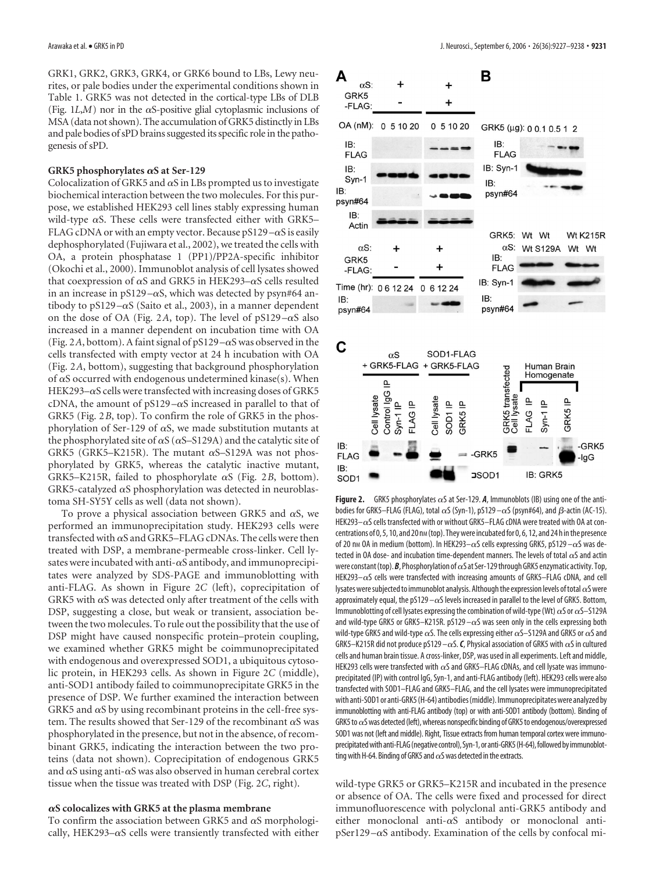GRK1, GRK2, GRK3, GRK4, or GRK6 bound to LBs, Lewy neurites, or pale bodies under the experimental conditions shown in Table 1. GRK5 was not detected in the cortical-type LBs of DLB (Fig.  $1L$ , $M$ ) nor in the  $\alpha$ S-positive glial cytoplasmic inclusions of MSA (data not shown). The accumulation of GRK5 distinctly in LBs and pale bodies of sPD brains suggested its specific role in the pathogenesis of sPD.

#### GRK5 phosphorylates  $\alpha$ S at Ser-129

Colocalization of GRK5 and  $\alpha$ S in LBs prompted us to investigate biochemical interaction between the two molecules. For this purpose, we established HEK293 cell lines stably expressing human wild-type  $\alpha$ S. These cells were transfected either with GRK5– FLAG cDNA or with an empty vector. Because  $pS129 - \alpha S$  is easily dephosphorylated (Fujiwara et al., 2002), we treated the cells with OA, a protein phosphatase 1 (PP1)/PP2A-specific inhibitor (Okochi et al., 2000). Immunoblot analysis of cell lysates showed that coexpression of  $\alpha S$  and GRK5 in HEK293– $\alpha S$  cells resulted in an increase in  $pS129 - \alpha S$ , which was detected by psyn#64 antibody to  $pS129 - \alpha S$  (Saito et al., 2003), in a manner dependent on the dose of OA (Fig. 2A, top). The level of  $pS129 - \alpha S$  also increased in a manner dependent on incubation time with OA (Fig. 2A, bottom). A faint signal of  $pS129 - \alpha S$  was observed in the cells transfected with empty vector at 24 h incubation with OA (Fig. 2*A*, bottom), suggesting that background phosphorylation of  $\alpha$ S occurred with endogenous undetermined kinase(s). When HEK293– $\alpha$ S cells were transfected with increasing doses of GRK5 cDNA, the amount of  $pS129 - \alpha S$  increased in parallel to that of GRK5 (Fig. 2*B*, top). To confirm the role of GRK5 in the phosphorylation of Ser-129 of  $\alpha$ S, we made substitution mutants at the phosphorylated site of  $\alpha S$  ( $\alpha S$ –S129A) and the catalytic site of GRK5 (GRK5–K215R). The mutant  $\alpha$ S–S129A was not phosphorylated by GRK5, whereas the catalytic inactive mutant, GRK5–K215R, failed to phosphorylate  $\alpha$ S (Fig. 2*B*, bottom). GRK5-catalyzed  $\alpha$ S phosphorylation was detected in neuroblastoma SH-SY5Y cells as well (data not shown).

To prove a physical association between GRK5 and  $\alpha$ S, we performed an immunoprecipitation study. HEK293 cells were transfected with  $\alpha$ S and GRK5–FLAG cDNAs. The cells were then treated with DSP, a membrane-permeable cross-linker. Cell lysates were incubated with anti- $\alpha$ S antibody, and immunoprecipitates were analyzed by SDS-PAGE and immunoblotting with anti-FLAG. As shown in Figure 2*C* (left), coprecipitation of GRK5 with  $\alpha$ S was detected only after treatment of the cells with DSP, suggesting a close, but weak or transient, association between the two molecules. To rule out the possibility that the use of DSP might have caused nonspecific protein–protein coupling, we examined whether GRK5 might be coimmunoprecipitated with endogenous and overexpressed SOD1, a ubiquitous cytosolic protein, in HEK293 cells. As shown in Figure 2*C* (middle), anti-SOD1 antibody failed to coimmunoprecipitate GRK5 in the presence of DSP. We further examined the interaction between GRK5 and  $\alpha$ S by using recombinant proteins in the cell-free system. The results showed that Ser-129 of the recombinant  $\alpha$ S was phosphorylated in the presence, but not in the absence, of recombinant GRK5, indicating the interaction between the two proteins (data not shown). Coprecipitation of endogenous GRK5 and  $\alpha$ S using anti- $\alpha$ S was also observed in human cerebral cortex tissue when the tissue was treated with DSP (Fig. 2*C*, right).

#### $\alpha$ S colocalizes with GRK5 at the plasma membrane

To confirm the association between GRK5 and  $\alpha$ S morphologically, HEK293- $\alpha$ S cells were transiently transfected with either



**Figure 2.** GRK5 phosphorylates  $\alpha$ S at Ser-129. *A*, Immunoblots (IB) using one of the antibodies for GRK5—FLAG (FLAG), total  $\alpha$ S (Syn-1), pS129— $\alpha$ S (psyn#64), and  $\beta$ -actin (AC-15). HEK293 $-\alpha$ S cells transfected with or without GRK5–FLAG cDNA were treated with OA at concentrations of 0, 5, 10, and 20 nm (top). They were incubated for 0, 6, 12, and 24 h in the presence of 20 nm OA in medium (bottom). In HEK293- $\alpha$ S cells expressing GRK5, pS129- $\alpha$ S was detected in OA dose- and incubation time-dependent manners. The levels of total  $\alpha$ S and actin were constant (top). **B**, Phosphorylation of  $\alpha$ S at Ser-129 through GRK5 enzymatic activity. Top, HEK293– $\alpha$ S cells were transfected with increasing amounts of GRK5–FLAG cDNA, and cell lysates were subjected to immunoblot analysis. Although the expression levels of total  $\alpha$ S were approximately equal, the pS129  $-\alpha$ S levels increased in parallel to the level of GRK5. Bottom, Immunoblotting of cell lysates expressing the combination of wild-type (Wt)  $\alpha$ S or  $\alpha$ S–S129A and wild-type GRK5 or GRK5–K215R. pS129  $-\alpha$ S was seen only in the cells expressing both wild-type GRK5 and wild-type  $\alpha$ S. The cells expressing either  $\alpha$ S–S129A and GRK5 or  $\alpha$ S and GRK5–K215R did not produce pS129 –  $\alpha$ S. C, Physical association of GRK5 with  $\alpha$ S in cultured cells and human brain tissue. A cross-linker, DSP, was used in all experiments. Left and middle, HEK293 cells were transfected with  $\alpha$ S and GRK5–FLAG cDNAs, and cell lysate was immunoprecipitated (IP) with control IgG, Syn-1, and anti-FLAG antibody (left). HEK293 cells were also transfected with SOD1–FLAG and GRK5–FLAG, and the cell lysates were immunoprecipitated with anti-SOD1 or anti-GRK5 (H-64) antibodies (middle). Immunoprecipitates were analyzed by immunoblotting with anti-FLAG antibody (top) or with anti-SOD1 antibody (bottom). Binding of GRK5 to  $\alpha$ S was detected (left), whereas nonspecific binding of GRK5 to endogenous/overexpressed SOD1 was not (left and middle). Right, Tissue extracts from human temporal cortex were immunoprecipitated with anti-FLAG (negative control), Syn-1, or anti-GRK5 (H-64), followed by immunoblotting with H-64. Binding of GRK5 and  $\alpha$ S was detected in the extracts.

wild-type GRK5 or GRK5–K215R and incubated in the presence or absence of OA. The cells were fixed and processed for direct immunofluorescence with polyclonal anti-GRK5 antibody and either monoclonal anti- $\alpha$ S antibody or monoclonal anti $p$ Ser129 $-\alpha$ S antibody. Examination of the cells by confocal mi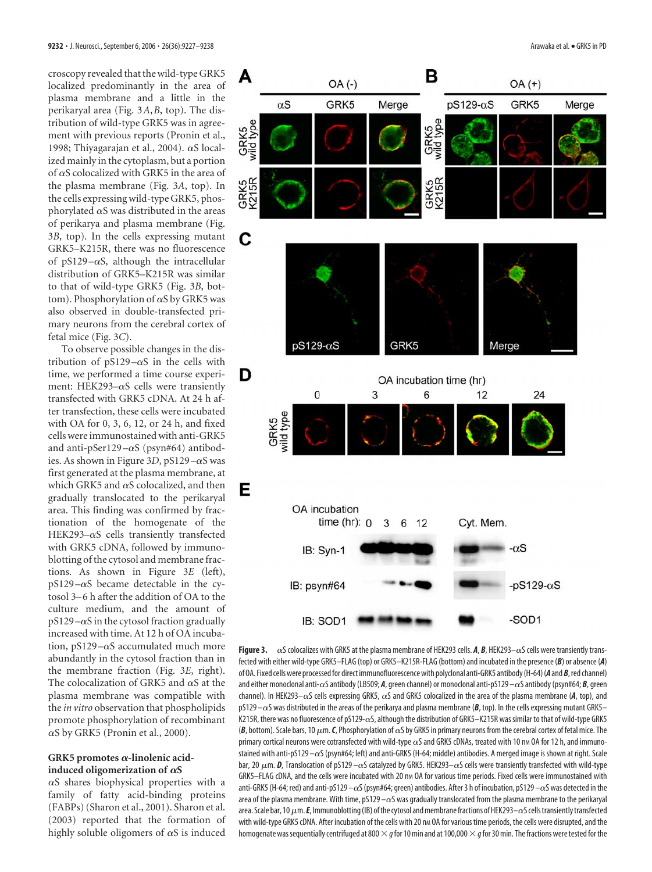croscopy revealed that the wild-type GRK5 localized predominantly in the area of plasma membrane and a little in the perikaryal area (Fig. 3*A*,*B*, top). The distribution of wild-type GRK5 was in agreement with previous reports (Pronin et al., 1998; Thiyagarajan et al., 2004).  $\alpha$ S localized mainly in the cytoplasm, but a portion of  $\alpha$ S colocalized with GRK5 in the area of the plasma membrane (Fig. 3*A*, top). In the cells expressing wild-type GRK5, phosphorylated  $\alpha$ S was distributed in the areas of perikarya and plasma membrane (Fig. 3*B*, top). In the cells expressing mutant GRK5–K215R, there was no fluorescence of pS129 $-\alpha$ S, although the intracellular distribution of GRK5–K215R was similar to that of wild-type GRK5 (Fig. 3*B*, bottom). Phosphorylation of  $\alpha S$  by GRK5 was also observed in double-transfected primary neurons from the cerebral cortex of fetal mice (Fig. 3*C*).

To observe possible changes in the distribution of  $pS129 - \alpha S$  in the cells with time, we performed a time course experiment: HEK293- $\alpha$ S cells were transiently transfected with GRK5 cDNA. At 24 h after transfection, these cells were incubated with OA for 0, 3, 6, 12, or 24 h, and fixed cells were immunostained with anti-GRK5 and anti-pSer129 $-\alpha$ S (psyn#64) antibodies. As shown in Figure 3D, pS129 $-\alpha$ S was first generated at the plasma membrane, at which GRK5 and  $\alpha$ S colocalized, and then gradually translocated to the perikaryal area. This finding was confirmed by fractionation of the homogenate of the HEK293- $\alpha$ S cells transiently transfected with GRK5 cDNA, followed by immunoblotting of the cytosol and membrane fractions. As shown in Figure 3*E* (left),  $pS129 - \alpha S$  became detectable in the cytosol 3–6 h after the addition of OA to the culture medium, and the amount of  $pS129 - \alpha S$  in the cytosol fraction gradually increased with time. At 12 h of OA incubation, pS129 $-\alpha$ S accumulated much more abundantly in the cytosol fraction than in the membrane fraction (Fig. 3*E*, right). The colocalization of GRK5 and  $\alpha$ S at the plasma membrane was compatible with the *in vitro* observation that phospholipids promote phosphorylation of recombinant  $\alpha$ S by GRK5 (Pronin et al., 2000).

## GRK5 promotes α-linolenic acidinduced oligomerization of  $\alpha$ S

 $\alpha$ S shares biophysical properties with a family of fatty acid-binding proteins (FABPs) (Sharon et al., 2001). Sharon et al. (2003) reported that the formation of highly soluble oligomers of  $\alpha S$  is induced



**Figure 3.**  $\alpha$ S colocalizes with GRK5 at the plasma membrane of HEK293 cells. *A*, *B*, HEK293– $\alpha$ S cells were transiently transfected with either wild-type GRK5–FLAG (top) or GRK5–K215R-FLAG (bottom) and incubated in the presence (*B*) or absence (*A*) of OA. Fixed cellswere processedfor direct immunofluorescencewith polyclonal anti-GRK5 antibody(H-64)(*A* and*B*,red channel) and either monoclonal anti- $\alpha$ S antibody (LB509; *A*, green channel) or monoclonal anti-pS129  $-\alpha$ S antibody (psyn#64; *B*, green channel). In HEK293– $\alpha$ S cells expressing GRK5,  $\alpha$ S and GRK5 colocalized in the area of the plasma membrane (*A*, top), and  $pS129 - \alpha S$  was distributed in the areas of the perikarya and plasma membrane ( $B$ , top). In the cells expressing mutant GRK5– K215R, there was no fluorescence of pS129- $\alpha$ S, although the distribution of GRK5–K215R was similar to that of wild-type GRK5 (B, bottom). Scale bars, 10  $\mu$ m. *C*, Phosphorylation of  $\alpha$ S by GRK5 in primary neurons from the cerebral cortex of fetal mice. The primary cortical neurons were cotransfected with wild-type  $\alpha$ S and GRK5 cDNAs, treated with 10 nm OA for 12 h, and immunostained with anti-pS129 $-\alpha$ S (psyn#64; left) and anti-GRK5 (H-64; middle) antibodies. A merged image is shown at right. Scale bar, 20  $\mu$ m. *D*, Translocation of pS129 –  $\alpha$ S catalyzed by GRK5. HEK293– $\alpha$ S cells were transiently transfected with wild-type GRK5-FLAG cDNA, and the cells were incubated with 20 nm OA for various time periods. Fixed cells were immunostained with anti-GRK5 (H-64; red) and anti-pS129  $-\alpha$ S (psyn#64; green) antibodies. After 3 h of incubation, pS129  $-\alpha$ S was detected in the area of the plasma membrane. With time,  $p5129 - \alpha S$  was gradually translocated from the plasma membrane to the perikaryal area. Scale bar, 10  $\mu$ m. *E*, Immunoblotting (IB) of the cytosol and membrane fractions of HEK293– $\alpha$ S cells transiently transfected with wild-type GRK5 cDNA. After incubation of the cells with 20 nm OA for various time periods, the cells were disrupted, and the homogenate was sequentially centrifuged at 800  $\times$  *q* for 10 min and at 100,000  $\times$  *q* for 30 min. The fractions were tested for the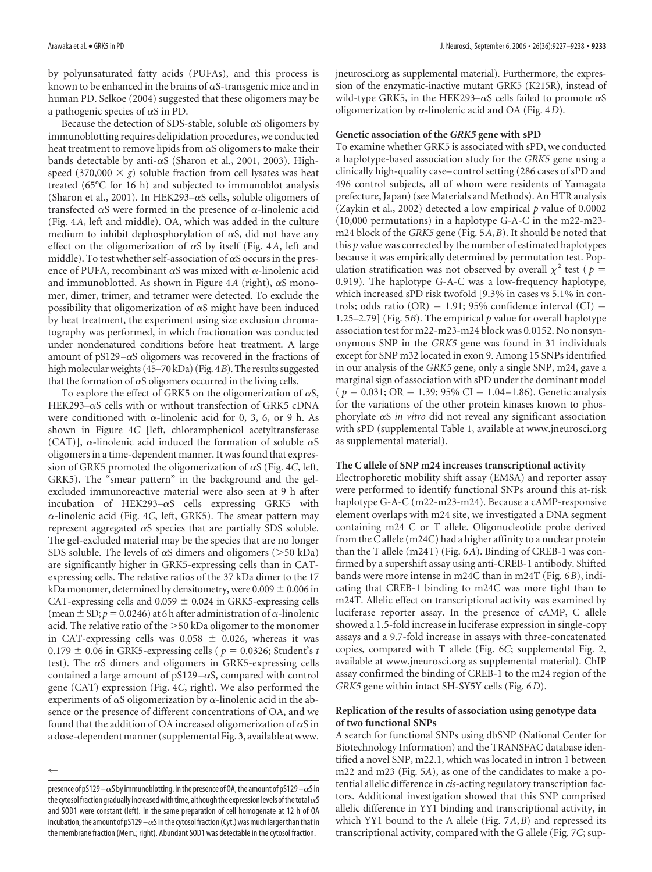by polyunsaturated fatty acids (PUFAs), and this process is known to be enhanced in the brains of  $\alpha$ S-transgenic mice and in human PD. Selkoe (2004) suggested that these oligomers may be a pathogenic species of  $\alpha S$  in PD.

Because the detection of SDS-stable, soluble  $\alpha$ S oligomers by immunoblotting requires delipidation procedures, we conducted heat treatment to remove lipids from  $\alpha$ S oligomers to make their bands detectable by anti- $\alpha$ S (Sharon et al., 2001, 2003). Highspeed (370,000  $\times$  g) soluble fraction from cell lysates was heat treated (65°C for 16 h) and subjected to immunoblot analysis (Sharon et al., 2001). In HEK293– $\alpha$ S cells, soluble oligomers of transfected  $\alpha$ S were formed in the presence of  $\alpha$ -linolenic acid (Fig. 4*A*, left and middle). OA, which was added in the culture medium to inhibit dephosphorylation of  $\alpha S$ , did not have any effect on the oligomerization of  $\alpha S$  by itself (Fig. 4A, left and middle). To test whether self-association of  $\alpha$ S occurs in the presence of PUFA, recombinant  $\alpha S$  was mixed with  $\alpha$ -linolenic acid and immunoblotted. As shown in Figure  $4A$  (right),  $\alpha S$  monomer, dimer, trimer, and tetramer were detected. To exclude the possibility that oligomerization of  $\alpha S$  might have been induced by heat treatment, the experiment using size exclusion chromatography was performed, in which fractionation was conducted under nondenatured conditions before heat treatment. A large amount of pS129 $-\alpha$ S oligomers was recovered in the fractions of high molecular weights (45–70 kDa) (Fig. 4*B*). The results suggested that the formation of  $\alpha S$  oligomers occurred in the living cells.

To explore the effect of GRK5 on the oligomerization of  $\alpha S$ , HEK293– $\alpha$ S cells with or without transfection of GRK5 cDNA were conditioned with  $\alpha$ -linolenic acid for 0, 3, 6, or 9 h. As shown in Figure 4*C* [left, chloramphenicol acetyltransferase (CAT)],  $\alpha$ -linolenic acid induced the formation of soluble  $\alpha S$ oligomers in a time-dependent manner. It was found that expression of GRK5 promoted the oligomerization of  $\alpha$ S (Fig. 4*C*, left, GRK5). The "smear pattern" in the background and the gelexcluded immunoreactive material were also seen at 9 h after incubation of HEK293- $\alpha$ S cells expressing GRK5 with -linolenic acid (Fig. 4*C*, left, GRK5). The smear pattern may represent aggregated  $\alpha S$  species that are partially SDS soluble. The gel-excluded material may be the species that are no longer SDS soluble. The levels of  $\alpha$ S dimers and oligomers ( $>$ 50 kDa) are significantly higher in GRK5-expressing cells than in CATexpressing cells. The relative ratios of the 37 kDa dimer to the 17 kDa monomer, determined by densitometry, were  $0.009 \pm 0.006$  in CAT-expressing cells and  $0.059 \pm 0.024$  in GRK5-expressing cells (mean  $\pm$  SD;  $p = 0.0246$ ) at 6 h after administration of  $\alpha$ -linolenic acid. The relative ratio of the  $>$  50 kDa oligomer to the monomer in CAT-expressing cells was  $0.058 \pm 0.026$ , whereas it was  $0.179 \pm 0.06$  in GRK5-expressing cells ( $p = 0.0326$ ; Student's *t* test). The  $\alpha S$  dimers and oligomers in GRK5-expressing cells contained a large amount of pS129 $-\alpha$ S, compared with control gene (CAT) expression (Fig. 4*C*, right). We also performed the experiments of  $\alpha$ S oligomerization by  $\alpha$ -linolenic acid in the absence or the presence of different concentrations of OA, and we found that the addition of OA increased oligomerization of  $\alpha$ S in a dose-dependent manner (supplemental Fig. 3, available at www.

 $\leftarrow$ 

jneurosci.org as supplemental material). Furthermore, the expression of the enzymatic-inactive mutant GRK5 (K215R), instead of wild-type GRK5, in the HEK293– $\alpha$ S cells failed to promote  $\alpha$ S oligomerization by  $\alpha$ -linolenic acid and OA (Fig. 4*D*).

## **Genetic association of the** *GRK5* **gene with sPD**

To examine whether GRK5 is associated with sPD, we conducted a haplotype-based association study for the *GRK5* gene using a clinically high-quality case– control setting (286 cases of sPD and 496 control subjects, all of whom were residents of Yamagata prefecture, Japan) (see Materials and Methods). An HTR analysis (Zaykin et al., 2002) detected a low empirical *p* value of 0.0002 (10,000 permutations) in a haplotype G-A-C in the m22-m23 m24 block of the *GRK5* gene (Fig. 5*A*,*B*). It should be noted that this *p* value was corrected by the number of estimated haplotypes because it was empirically determined by permutation test. Population stratification was not observed by overall  $\chi^2$  test (  $p =$ 0.919). The haplotype G-A-C was a low-frequency haplotype, which increased sPD risk twofold [9.3% in cases vs 5.1% in controls; odds ratio (OR) = 1.91; 95% confidence interval (CI) = 1.25–2.79] (Fig. 5*B*). The empirical *p* value for overall haplotype association test for m22-m23-m24 block was 0.0152. No nonsynonymous SNP in the *GRK5* gene was found in 31 individuals except for SNP m32 located in exon 9. Among 15 SNPs identified in our analysis of the *GRK5* gene, only a single SNP, m24, gave a marginal sign of association with sPD under the dominant model  $(p = 0.031; \text{OR} = 1.39; 95\% \text{ CI} = 1.04 - 1.86)$ . Genetic analysis for the variations of the other protein kinases known to phosphorylate  $\alpha S$  *in vitro* did not reveal any significant association with sPD (supplemental Table 1, available at www.jneurosci.org as supplemental material).

#### **The C allele of SNP m24 increases transcriptional activity**

Electrophoretic mobility shift assay (EMSA) and reporter assay were performed to identify functional SNPs around this at-risk haplotype G-A-C (m22-m23-m24). Because a cAMP-responsive element overlaps with m24 site, we investigated a DNA segment containing m24 C or T allele. Oligonucleotide probe derived from the C allele (m24C) had a higher affinity to a nuclear protein than the T allele (m24T) (Fig. 6*A*). Binding of CREB-1 was confirmed by a supershift assay using anti-CREB-1 antibody. Shifted bands were more intense in m24C than in m24T (Fig. 6*B*), indicating that CREB-1 binding to m24C was more tight than to m24T. Allelic effect on transcriptional activity was examined by luciferase reporter assay. In the presence of cAMP, C allele showed a 1.5-fold increase in luciferase expression in single-copy assays and a 9.7-fold increase in assays with three-concatenated copies, compared with T allele (Fig. 6*C*; supplemental Fig. 2, available at www.jneurosci.org as supplemental material). ChIP assay confirmed the binding of CREB-1 to the m24 region of the *GRK5* gene within intact SH-SY5Y cells (Fig. 6*D*).

## **Replication of the results of association using genotype data of two functional SNPs**

A search for functional SNPs using dbSNP (National Center for Biotechnology Information) and the TRANSFAC database identified a novel SNP, m22.1, which was located in intron 1 between m22 and m23 (Fig. 5*A*), as one of the candidates to make a potential allelic difference in *cis*-acting regulatory transcription factors. Additional investigation showed that this SNP comprised allelic difference in YY1 binding and transcriptional activity, in which YY1 bound to the A allele (Fig. 7*A*,*B*) and repressed its transcriptional activity, compared with the G allele (Fig. 7*C*; sup-

presence of pS129 –  $\alpha$ S by immunoblotting. In the presence of OA, the amount of pS129 –  $\alpha$ S in the cytosol fraction gradually increased with time, although the expression levels of the total  $\alpha S$ and SOD1 were constant (left). In the same preparation of cell homogenate at 12 h of OA incubation, the amount of pS129  $-\alpha$ S in the cytosol fraction (Cyt.) was much larger than that in the membrane fraction (Mem.; right). Abundant SOD1 was detectable in the cytosol fraction.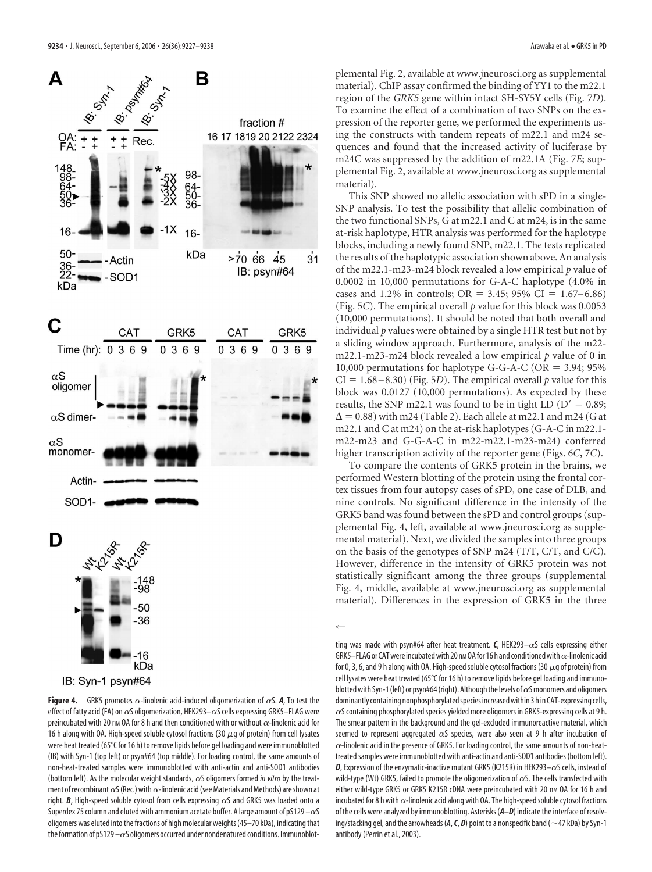

 $-16$ kDa IB: Syn-1 psyn#64

**Figure 4.** GRK5 promotes  $\alpha$ -linolenic acid-induced oligomerization of  $\alpha$ S. *A*, To test the effect of fatty acid (FA) on  $\alpha$ S oligomerization, HEK293– $\alpha$ S cells expressing GRK5–FLAG were preincubated with 20 nm OA for 8 h and then conditioned with or without  $\alpha$ -linolenic acid for 16 h along with OA. High-speed soluble cytosol fractions (30  $\mu$ g of protein) from cell lysates were heat treated (65°C for 16 h) to remove lipids before gel loading and were immunoblotted (IB) with Syn-1 (top left) or psyn#64 (top middle). For loading control, the same amounts of non-heat-treated samples were immunoblotted with anti-actin and anti-SOD1 antibodies (bottom left). As the molecular weight standards,  $\alpha$ S oligomers formed *in vitro* by the treatment of recombinant  $\alpha$ S (Rec.) with  $\alpha$ -linolenic acid (see Materials and Methods) are shown at right. **B**, High-speed soluble cytosol from cells expressing  $\alpha$ S and GRK5 was loaded onto a Superdex 75 column and eluted with ammonium acetate buffer. A large amount of pS129  $-\alpha$ S oligomers was eluted into the fractions of high molecular weights (45–70 kDa), indicating that the formation of pS129  $-\alpha$ S oligomers occurred under nondenatured conditions. Immunoblot-

plemental Fig. 2, available at www.jneurosci.org as supplemental material). ChIP assay confirmed the binding of YY1 to the m22.1 region of the *GRK5* gene within intact SH-SY5Y cells (Fig. 7*D*). To examine the effect of a combination of two SNPs on the expression of the reporter gene, we performed the experiments using the constructs with tandem repeats of m22.1 and m24 sequences and found that the increased activity of luciferase by m24C was suppressed by the addition of m22.1A (Fig. 7*E*; supplemental Fig. 2, available at www.jneurosci.org as supplemental material).

This SNP showed no allelic association with sPD in a single-SNP analysis. To test the possibility that allelic combination of the two functional SNPs, G at m22.1 and C at m24, is in the same at-risk haplotype, HTR analysis was performed for the haplotype blocks, including a newly found SNP, m22.1. The tests replicated the results of the haplotypic association shown above. An analysis of the m22.1-m23-m24 block revealed a low empirical *p* value of 0.0002 in 10,000 permutations for G-A-C haplotype (4.0% in cases and 1.2% in controls;  $OR = 3.45$ ; 95%  $CI = 1.67–6.86$ ) (Fig. 5*C*). The empirical overall *p* value for this block was 0.0053 (10,000 permutations). It should be noted that both overall and individual *p* values were obtained by a single HTR test but not by a sliding window approach. Furthermore, analysis of the m22 m22.1-m23-m24 block revealed a low empirical *p* value of 0 in 10,000 permutations for haplotype G-G-A-C (OR  $=$  3.94; 95%  $CI = 1.68 - 8.30$  (Fig. 5*D*). The empirical overall *p* value for this block was 0.0127 (10,000 permutations). As expected by these results, the SNP m22.1 was found to be in tight LD  $(D' = 0.89;$  $\Delta$  = 0.88) with m24 (Table 2). Each allele at m22.1 and m24 (G at m22.1 and C at m24) on the at-risk haplotypes (G-A-C in m22.1 m22-m23 and G-G-A-C in m22-m22.1-m23-m24) conferred higher transcription activity of the reporter gene (Figs. 6*C*, 7*C*).

To compare the contents of GRK5 protein in the brains, we performed Western blotting of the protein using the frontal cortex tissues from four autopsy cases of sPD, one case of DLB, and nine controls. No significant difference in the intensity of the GRK5 band was found between the sPD and control groups (supplemental Fig. 4, left, available at www.jneurosci.org as supplemental material). Next, we divided the samples into three groups on the basis of the genotypes of SNP m24 (T/T, C/T, and C/C). However, difference in the intensity of GRK5 protein was not statistically significant among the three groups (supplemental Fig. 4, middle, available at www.jneurosci.org as supplemental material). Differences in the expression of GRK5 in the three

 $\leftarrow$ 

ting was made with psyn#64 after heat treatment. **C**, HEK293– $\alpha$ S cells expressing either GRK5–FLAG or CAT were incubated with 20 nm OA for 16 h and conditioned with  $\alpha$ -linolenic acid for 0, 3, 6, and 9 h along with OA. High-speed soluble cytosol fractions (30  $\mu$ g of protein) from cell lysates were heat treated (65°C for 16 h) to remove lipids before gel loading and immunoblotted with Syn-1 (left) or psyn#64 (right). Although the levels of  $\alpha$ S monomers and oligomers dominantly containing nonphosphorylated species increased within 3 h in CAT-expressing cells,  $\alpha$ S containing phosphorylated species yielded more oligomers in GRK5-expressing cells at 9 h. The smear pattern in the background and the gel-excluded immunoreactive material, which seemed to represent aggregated  $\alpha$ S species, were also seen at 9 h after incubation of  $\alpha$ -linolenic acid in the presence of GRK5. For loading control, the same amounts of non-heattreated samples were immunoblotted with anti-actin and anti-SOD1 antibodies (bottom left). **D**, Expression of the enzymatic-inactive mutant GRK5 (K215R) in HEK293– $\alpha$ S cells, instead of wild-type (Wt) GRK5, failed to promote the oligomerization of  $\alpha$ S. The cells transfected with either wild-type GRK5 or GRK5 K215R cDNA were preincubated with 20 nm OA for 16 h and incubated for 8 h with  $\alpha$ -linolenic acid along with OA. The high-speed soluble cytosol fractions of the cells were analyzed by immunoblotting. Asterisks (*A–D*) indicate the interface of resolving/stacking gel, and the arrowheads  $(A, C, D)$  point to a nonspecific band ( $\sim$ 47 kDa) by Syn-1 antibody (Perrin et al., 2003).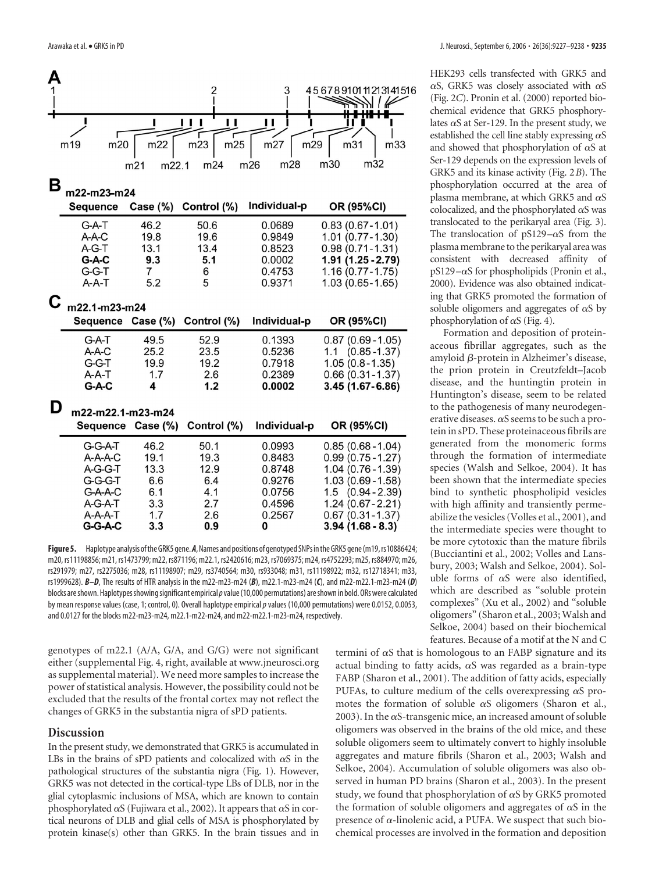

**Figure5.** Haplotype analysis oftheGRK5 gene.*A*,Names and positions of genotyped SNPs intheGRK5 gene(m19,rs10886424; m20, rs11198856; m21, rs1473799; m22, rs871196; m22.1, rs2420616; m23, rs7069375; m24, rs4752293; m25, rs884970; m26, rs291979; m27, rs2275036; m28, rs11198907; m29, rs3740564; m30, rs933048; m31, rs11198922; m32, rs12718341; m33, rs1999628). *B–D*, The results of HTR analysis in the m22-m23-m24 (*B*), m22.1-m23-m24 (*C*), and m22-m22.1-m23-m24 (*D*) blocks areshown.Haplotypesshowingsignificant empirical*p*value(10,000 permutations) areshown in bold. ORs were calculated by mean response values (case, 1; control, 0). Overall haplotype empirical*p*values (10,000 permutations) were 0.0152, 0.0053, and 0.0127 for the blocks m22-m23-m24, m22.1-m22-m24, and m22-m22.1-m23-m24, respectively.

genotypes of m22.1 (A/A, G/A, and G/G) were not significant either (supplemental Fig. 4, right, available at www.jneurosci.org as supplemental material). We need more samples to increase the power of statistical analysis. However, the possibility could not be excluded that the results of the frontal cortex may not reflect the changes of GRK5 in the substantia nigra of sPD patients.

# **Discussion**

In the present study, we demonstrated that GRK5 is accumulated in LBs in the brains of sPD patients and colocalized with  $\alpha$ S in the pathological structures of the substantia nigra (Fig. 1). However, GRK5 was not detected in the cortical-type LBs of DLB, nor in the glial cytoplasmic inclusions of MSA, which are known to contain phosphorylated  $\alpha S$  (Fujiwara et al., 2002). It appears that  $\alpha S$  in cortical neurons of DLB and glial cells of MSA is phosphorylated by protein kinase(s) other than GRK5. In the brain tissues and in

HEK293 cells transfected with GRK5 and  $\alpha$ S, GRK5 was closely associated with  $\alpha$ S (Fig. 2*C*). Pronin et al. (2000) reported biochemical evidence that GRK5 phosphorylates  $\alpha$ S at Ser-129. In the present study, we established the cell line stably expressing  $\alpha S$ and showed that phosphorylation of  $\alpha S$  at Ser-129 depends on the expression levels of GRK5 and its kinase activity (Fig. 2*B*). The phosphorylation occurred at the area of plasma membrane, at which GRK5 and  $\alpha$ S colocalized, and the phosphorylated  $\alpha$ S was translocated to the perikaryal area (Fig. 3). The translocation of  $pS129 - \alpha S$  from the plasma membrane to the perikaryal area was consistent with decreased affinity of  $pS129 - \alpha S$  for phospholipids (Pronin et al., 2000). Evidence was also obtained indicating that GRK5 promoted the formation of soluble oligomers and aggregates of  $\alpha S$  by phosphorylation of  $\alpha$ S (Fig. 4).

Formation and deposition of proteinaceous fibrillar aggregates, such as the amyloid  $\beta$ -protein in Alzheimer's disease, the prion protein in Creutzfeldt–Jacob disease, and the huntingtin protein in Huntington's disease, seem to be related to the pathogenesis of many neurodegenerative diseases.  $\alpha$ S seems to be such a protein in sPD. These proteinaceous fibrils are generated from the monomeric forms through the formation of intermediate species (Walsh and Selkoe, 2004). It has been shown that the intermediate species bind to synthetic phospholipid vesicles with high affinity and transiently permeabilize the vesicles (Volles et al., 2001), and the intermediate species were thought to be more cytotoxic than the mature fibrils (Bucciantini et al., 2002; Volles and Lansbury, 2003; Walsh and Selkoe, 2004). Soluble forms of  $\alpha S$  were also identified, which are described as "soluble protein complexes" (Xu et al., 2002) and "soluble oligomers" (Sharon et al., 2003; Walsh and Selkoe, 2004) based on their biochemical features. Because of a motif at the N and C

termini of  $\alpha$ S that is homologous to an FABP signature and its actual binding to fatty acids,  $\alpha S$  was regarded as a brain-type FABP (Sharon et al., 2001). The addition of fatty acids, especially PUFAs, to culture medium of the cells overexpressing  $\alpha S$  promotes the formation of soluble  $\alpha S$  oligomers (Sharon et al., 2003). In the  $\alpha$ S-transgenic mice, an increased amount of soluble oligomers was observed in the brains of the old mice, and these soluble oligomers seem to ultimately convert to highly insoluble aggregates and mature fibrils (Sharon et al., 2003; Walsh and Selkoe, 2004). Accumulation of soluble oligomers was also observed in human PD brains (Sharon et al., 2003). In the present study, we found that phosphorylation of  $\alpha S$  by GRK5 promoted the formation of soluble oligomers and aggregates of  $\alpha S$  in the presence of  $\alpha$ -linolenic acid, a PUFA. We suspect that such biochemical processes are involved in the formation and deposition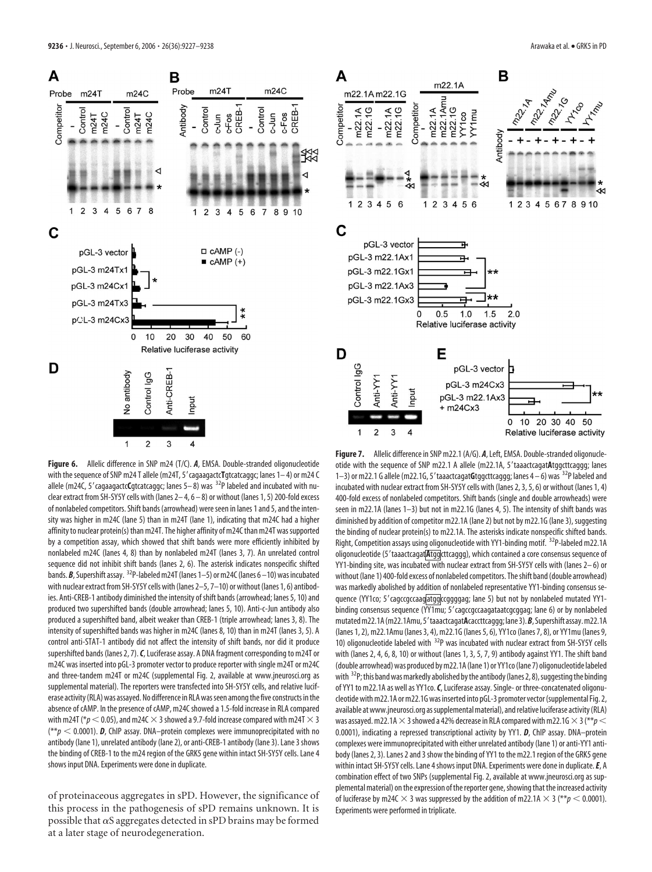



Control IgG No antibody

Anti-CREB-

Input

of proteinaceous aggregates in sPD. However, the significance of this process in the pathogenesis of sPD remains unknown. It is possible that  $\alpha S$  aggregates detected in sPD brains may be formed at a later stage of neurodegeneration.





**Figure 7.** Allelic difference in SNP m22.1 (A/G). *A*, Left, EMSA. Double-stranded oligonucleotide with the sequence of SNP m22.1 A allele (m22.1A, 5'taaactcagatAtggcttcaggg; lanes 1-3) or m22.1 G allele (m22.1G, 5' taaactcagatGtggcttcaggg; lanes 4-6) was <sup>32</sup>P labeled and incubated with nuclear extract from SH-SY5Y cells with (lanes 2, 3, 5, 6) or without (lanes 1, 4) 400-fold excess of nonlabeled competitors. Shift bands (single and double arrowheads) were seen in m22.1A (lanes 1–3) but not in m22.1G (lanes 4, 5). The intensity of shift bands was diminished by addition of competitor m22.1A (lane 2) but not by m22.1G (lane 3), suggesting the binding of nuclear protein(s) to m22.1A. The asterisks indicate nonspecific shifted bands. Right, Competition assays using oligonucleotide with YY1-binding motif. 32P-labeled m22.1A oligonucleotide (5'taaactcagat**Atgg**cttcaggg), which contained a core consensus sequence of YY1-binding site, was incubated with nuclear extract from SH-SY5Y cells with (lanes 2-6) or without (lane 1) 400-fold excess of nonlabeled competitors. The shift band (double arrowhead) was markedly abolished by addition of nonlabeled representative YY1-binding consensus sequence (YY1co; 5' cagccgccaagatggccggggag; lane 5) but not by nonlabeled mutated YY1binding consensus sequence (YY1mu; 5' cagccgccaagataatcgcggag; lane 6) or by nonlabeled mutated m22.1A (m22.1Amu, 5' taaactcagatAcaccttcaggg; lane 3). B, Supershift assay. m22.1A (lanes 1, 2), m22.1Amu (lanes 3, 4), m22.1G (lanes 5, 6), YY1co (lanes 7, 8), or YY1mu (lanes 9, 10) oligonucleotide labeled with  $32P$  was incubated with nuclear extract from SH-SY5Y cells with (lanes 2, 4, 6, 8, 10) or without (lanes 1, 3, 5, 7, 9) antibody against YY1. The shift band (double arrowhead) was produced bym22.1A(lane 1) or YY1co(lane 7) oligonucleotide labeled with  $32P$ ; this band was markedly abolished by the antibody (lanes 2, 8), suggesting the binding of YY1 to m22.1A as well as YY1co.*C*, Luciferase assay. Single- or three-concatenated oligonucleotide withm22.1A orm22.1G was inserted into pGL-3 promoter vector(supplemental Fig. 2, available at www.jneurosci.org as supplemental material), and relative luciferase activity (RLA) was assayed. m22.1A  $\times$  3 showed a 42% decrease in RLA compared with m22.1G  $\times$  3 (\*\* $p$   $<$ 0.0001), indicating a repressed transcriptional activity by YY1. *D*, ChIP assay. DNA–protein complexes were immunoprecipitated with either unrelated antibody (lane 1) or anti-YY1 antibody (lanes 2, 3). Lanes 2 and 3 show the binding of YY1 to the m22.1 region of the GRK5 gene within intact SH-SY5Y cells. Lane 4 shows input DNA. Experiments were done in duplicate.*E*, A combination effect of two SNPs (supplemental Fig. 2, available at www.jneurosci.org as supplemental material) on the expression of the reporter gene, showing that the increased activity of luciferase by m24C  $\times$  3 was suppressed by the addition of m22.1A  $\times$  3 (\*\* $p$  < 0.0001). Experiments were performed in triplicate.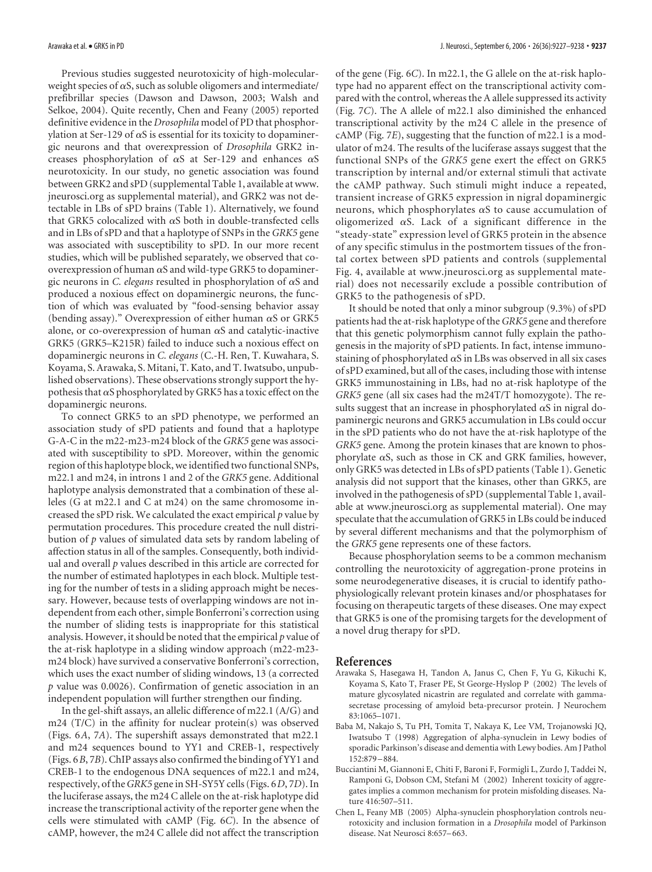Previous studies suggested neurotoxicity of high-molecularweight species of  $\alpha S$ , such as soluble oligomers and intermediate/ prefibrillar species (Dawson and Dawson, 2003; Walsh and Selkoe, 2004). Quite recently, Chen and Feany (2005) reported definitive evidence in the *Drosophila* model of PD that phosphorylation at Ser-129 of  $\alpha$ S is essential for its toxicity to dopaminergic neurons and that overexpression of *Drosophila* GRK2 increases phosphorylation of  $\alpha S$  at Ser-129 and enhances  $\alpha S$ neurotoxicity. In our study, no genetic association was found between GRK2 and sPD (supplemental Table 1, available at www. jneurosci.org as supplemental material), and GRK2 was not detectable in LBs of sPD brains (Table 1). Alternatively, we found that GRK5 colocalized with  $\alpha S$  both in double-transfected cells and in LBs of sPD and that a haplotype of SNPs in the *GRK5* gene was associated with susceptibility to sPD. In our more recent studies, which will be published separately, we observed that cooverexpression of human  $\alpha S$  and wild-type GRK5 to dopaminergic neurons in *C. elegans* resulted in phosphorylation of  $\alpha$ S and produced a noxious effect on dopaminergic neurons, the function of which was evaluated by "food-sensing behavior assay (bending assay)." Overexpression of either human  $\alpha$ S or GRK5 alone, or co-overexpression of human  $\alpha$ S and catalytic-inactive GRK5 (GRK5–K215R) failed to induce such a noxious effect on dopaminergic neurons in *C. elegans* (C.-H. Ren, T. Kuwahara, S. Koyama, S. Arawaka, S. Mitani, T. Kato, and T. Iwatsubo, unpublished observations). These observations strongly support the hypothesis that  $\alpha$ S phosphorylated by GRK5 has a toxic effect on the dopaminergic neurons.

To connect GRK5 to an sPD phenotype, we performed an association study of sPD patients and found that a haplotype G-A-C in the m22-m23-m24 block of the *GRK5* gene was associated with susceptibility to sPD. Moreover, within the genomic region of this haplotype block, we identified two functional SNPs, m22.1 and m24, in introns 1 and 2 of the *GRK5* gene. Additional haplotype analysis demonstrated that a combination of these alleles (G at m22.1 and C at m24) on the same chromosome increased the sPD risk. We calculated the exact empirical *p* value by permutation procedures. This procedure created the null distribution of *p* values of simulated data sets by random labeling of affection status in all of the samples. Consequently, both individual and overall *p* values described in this article are corrected for the number of estimated haplotypes in each block. Multiple testing for the number of tests in a sliding approach might be necessary. However, because tests of overlapping windows are not independent from each other, simple Bonferroni's correction using the number of sliding tests is inappropriate for this statistical analysis. However, it should be noted that the empirical *p* value of the at-risk haplotype in a sliding window approach (m22-m23 m24 block) have survived a conservative Bonferroni's correction, which uses the exact number of sliding windows, 13 (a corrected *p* value was 0.0026). Confirmation of genetic association in an independent population will further strengthen our finding.

In the gel-shift assays, an allelic difference of m22.1 (A/G) and m24 (T/C) in the affinity for nuclear protein(s) was observed (Figs. 6*A*, 7*A*). The supershift assays demonstrated that m22.1 and m24 sequences bound to YY1 and CREB-1, respectively (Figs. 6*B*, 7*B*). ChIP assays also confirmed the binding of YY1 and CREB-1 to the endogenous DNA sequences of m22.1 and m24, respectively, of the*GRK5* gene in SH-SY5Y cells (Figs. 6*D*, 7*D*). In the luciferase assays, the m24 C allele on the at-risk haplotype did increase the transcriptional activity of the reporter gene when the cells were stimulated with cAMP (Fig. 6*C*). In the absence of cAMP, however, the m24 C allele did not affect the transcription

of the gene (Fig. 6*C*). In m22.1, the G allele on the at-risk haplotype had no apparent effect on the transcriptional activity compared with the control, whereas the A allele suppressed its activity (Fig. 7*C*). The A allele of m22.1 also diminished the enhanced transcriptional activity by the m24 C allele in the presence of cAMP (Fig. 7*E*), suggesting that the function of m22.1 is a modulator of m24. The results of the luciferase assays suggest that the functional SNPs of the *GRK5* gene exert the effect on GRK5 transcription by internal and/or external stimuli that activate the cAMP pathway. Such stimuli might induce a repeated, transient increase of GRK5 expression in nigral dopaminergic neurons, which phosphorylates  $\alpha S$  to cause accumulation of oligomerized  $\alpha$ S. Lack of a significant difference in the "steady-state" expression level of GRK5 protein in the absence of any specific stimulus in the postmortem tissues of the frontal cortex between sPD patients and controls (supplemental Fig. 4, available at www.jneurosci.org as supplemental material) does not necessarily exclude a possible contribution of GRK5 to the pathogenesis of sPD.

It should be noted that only a minor subgroup (9.3%) of sPD patients had the at-risk haplotype of the*GRK5* gene and therefore that this genetic polymorphism cannot fully explain the pathogenesis in the majority of sPD patients. In fact, intense immunostaining of phosphorylated  $\alpha S$  in LBs was observed in all six cases of sPD examined, but all of the cases, including those with intense GRK5 immunostaining in LBs, had no at-risk haplotype of the *GRK5* gene (all six cases had the m24T/T homozygote). The results suggest that an increase in phosphorylated  $\alpha$ S in nigral dopaminergic neurons and GRK5 accumulation in LBs could occur in the sPD patients who do not have the at-risk haplotype of the *GRK5* gene. Among the protein kinases that are known to phosphorylate  $\alpha$ S, such as those in CK and GRK families, however, only GRK5 was detected in LBs of sPD patients (Table 1). Genetic analysis did not support that the kinases, other than GRK5, are involved in the pathogenesis of sPD (supplemental Table 1, available at www.jneurosci.org as supplemental material). One may speculate that the accumulation of GRK5 in LBs could be induced by several different mechanisms and that the polymorphism of the *GRK5* gene represents one of these factors.

Because phosphorylation seems to be a common mechanism controlling the neurotoxicity of aggregation-prone proteins in some neurodegenerative diseases, it is crucial to identify pathophysiologically relevant protein kinases and/or phosphatases for focusing on therapeutic targets of these diseases. One may expect that GRK5 is one of the promising targets for the development of a novel drug therapy for sPD.

#### **References**

- Arawaka S, Hasegawa H, Tandon A, Janus C, Chen F, Yu G, Kikuchi K, Koyama S, Kato T, Fraser PE, St George-Hyslop P (2002) The levels of mature glycosylated nicastrin are regulated and correlate with gammasecretase processing of amyloid beta-precursor protein. J Neurochem 83:1065–1071.
- Baba M, Nakajo S, Tu PH, Tomita T, Nakaya K, Lee VM, Trojanowski JQ, Iwatsubo T (1998) Aggregation of alpha-synuclein in Lewy bodies of sporadic Parkinson's disease and dementia with Lewy bodies. Am J Pathol 152:879 –884.
- Bucciantini M, Giannoni E, Chiti F, Baroni F, Formigli L, Zurdo J, Taddei N, Ramponi G, Dobson CM, Stefani M (2002) Inherent toxicity of aggregates implies a common mechanism for protein misfolding diseases. Nature 416:507–511.
- Chen L, Feany MB (2005) Alpha-synuclein phosphorylation controls neurotoxicity and inclusion formation in a *Drosophila* model of Parkinson disease. Nat Neurosci 8:657–663.